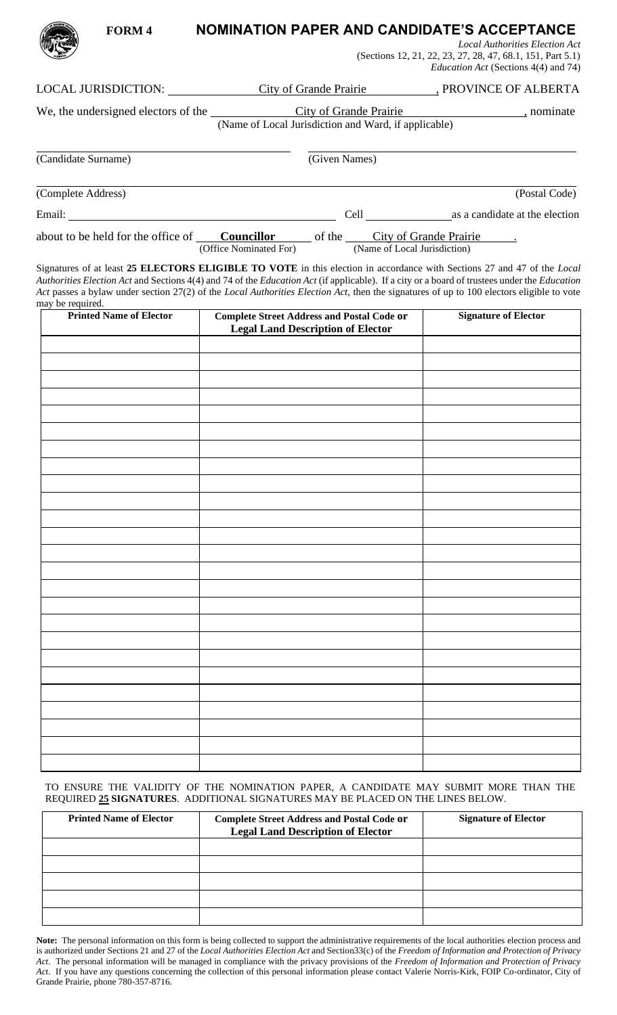## *Local Authorities Election Act* (Sections 12, 21, 22, 23, 27, 28, 47, 68.1, 151, Part 5.1) *Education Act* (Sections 4(4) and 74) LOCAL JURISDICTION: City of Grande Prairie , PROVINCE OF ALBERTA We, the undersigned electors of the City of Grande Prairie , nominate (Name of Local Jurisdiction and Ward, if applicable) (Candidate Surname) (Given Names) (Complete Address) (Postal Code) Email: Cell as a candidate at the election

**FORM 4 NOMINATION PAPER AND CANDIDATE'S ACCEPTANCE**

about to be held for the office of **Councillor** of the City of Grande Prairie . (Office Nominated For) (Name of Local Jurisdiction)

Signatures of at least **25 ELECTORS ELIGIBLE TO VOTE** in this election in accordance with Sections 27 and 47 of the *Local Authorities Election Act* and Sections 4(4) and 74 of the *Education Act* (if applicable). If a city or a board of trustees under the *Education Act* passes a bylaw under section 27(2) of the *Local Authorities Election Act*, then the signatures of up to 100 electors eligible to vote may be required.

| <b>Printed Name of Elector</b> | <b>Complete Street Address and Postal Code or</b><br><b>Legal Land Description of Elector</b> | <b>Signature of Elector</b> |
|--------------------------------|-----------------------------------------------------------------------------------------------|-----------------------------|
|                                |                                                                                               |                             |
|                                |                                                                                               |                             |
|                                |                                                                                               |                             |
|                                |                                                                                               |                             |
|                                |                                                                                               |                             |
|                                |                                                                                               |                             |
|                                |                                                                                               |                             |
|                                |                                                                                               |                             |
|                                |                                                                                               |                             |
|                                |                                                                                               |                             |
|                                |                                                                                               |                             |
|                                |                                                                                               |                             |
|                                |                                                                                               |                             |
|                                |                                                                                               |                             |
|                                |                                                                                               |                             |
|                                |                                                                                               |                             |
|                                |                                                                                               |                             |
|                                |                                                                                               |                             |
|                                |                                                                                               |                             |
|                                |                                                                                               |                             |
|                                |                                                                                               |                             |
|                                |                                                                                               |                             |
|                                |                                                                                               |                             |
|                                |                                                                                               |                             |
|                                |                                                                                               |                             |

TO ENSURE THE VALIDITY OF THE NOMINATION PAPER, A CANDIDATE MAY SUBMIT MORE THAN THE REQUIRED **25 SIGNATURES**. ADDITIONAL SIGNATURES MAY BE PLACED ON THE LINES BELOW.

| <b>Printed Name of Elector</b> | <b>Complete Street Address and Postal Code or</b><br><b>Legal Land Description of Elector</b> | <b>Signature of Elector</b> |
|--------------------------------|-----------------------------------------------------------------------------------------------|-----------------------------|
|                                |                                                                                               |                             |
|                                |                                                                                               |                             |
|                                |                                                                                               |                             |
|                                |                                                                                               |                             |
|                                |                                                                                               |                             |

**Note:** The personal information on this form is being collected to support the administrative requirements of the local authorities election process and is authorized under Sections 21 and 27 of the *Local Authorities Election Act* and Section33(c) of the *Freedom of Information and Protection of Privacy Act*. The personal information will be managed in compliance with the privacy provisions of the *Freedom of Information and Protection of Privacy Act*. If you have any questions concerning the collection of this personal information please contact Valerie Norris-Kirk, FOIP Co-ordinator, City of Grande Prairie, phone 780-357-8716.